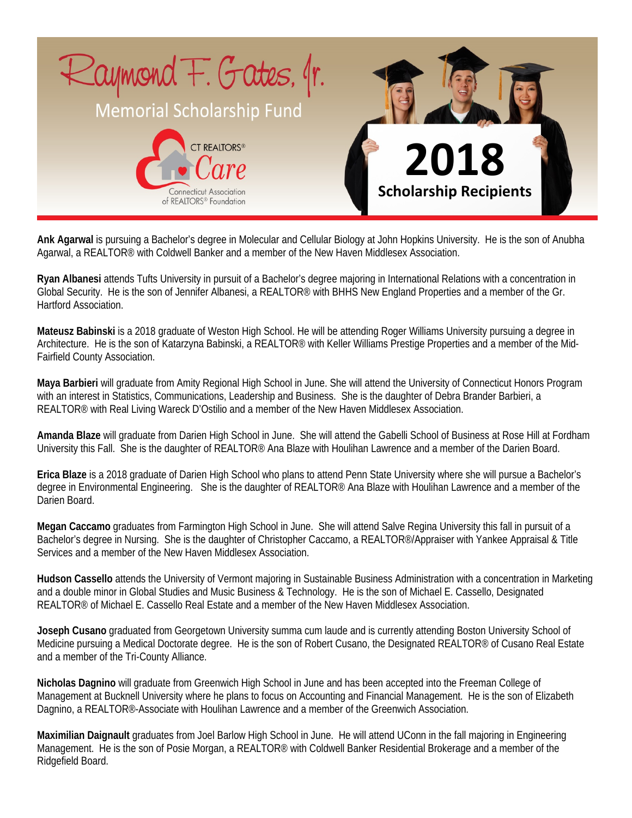

**Ank Agarwal** is pursuing a Bachelor's degree in Molecular and Cellular Biology at John Hopkins University. He is the son of Anubha Agarwal, a REALTOR<sup>®</sup> with Coldwell Banker and a member of the New Haven Middlesex Association.

**Ryan Albanesi** attends Tufts University in pursuit of a Bachelor's degree majoring in International Relations with a concentration in Global Security. He is the son of Jennifer Albanesi, a REALTOR® with BHHS New England Properties and a member of the Gr. Hartford Association.

**Mateusz Babinski** is a 2018 graduate of Weston High School. He will be attending Roger Williams University pursuing a degree in Architecture. He is the son of Katarzyna Babinski, a REALTOR® with Keller Williams Prestige Properties and a member of the Mid-Fairfield County Association.

**Maya Barbieri** will graduate from Amity Regional High School in June. She will attend the University of Connecticut Honors Program with an interest in Statistics, Communications, Leadership and Business. She is the daughter of Debra Brander Barbieri, a REALTOR® with Real Living Wareck D'Ostilio and a member of the New Haven Middlesex Association.

**Amanda Blaze** will graduate from Darien High School in June. She will attend the Gabelli School of Business at Rose Hill at Fordham University this Fall. She is the daughter of REALTOR<sup>®</sup> Ana Blaze with Houlihan Lawrence and a member of the Darien Board.

**Erica Blaze** is a 2018 graduate of Darien High School who plans to attend Penn State University where she will pursue a Bachelor's degree in Environmental Engineering. She is the daughter of REALTOR® Ana Blaze with Houlihan Lawrence and a member of the Darien Board.

**Megan Caccamo** graduates from Farmington High School in June. She will attend Salve Regina University this fall in pursuit of a Bachelor's degree in Nursing. She is the daughter of Christopher Caccamo, a REALTOR®/Appraiser with Yankee Appraisal & Title Services and a member of the New Haven Middlesex Association.

**Hudson Cassello** attends the University of Vermont majoring in Sustainable Business Administration with a concentration in Marketing and a double minor in Global Studies and Music Business & Technology. He is the son of Michael E. Cassello, Designated REALTOR® of Michael E. Cassello Real Estate and a member of the New Haven Middlesex Association.

**Joseph Cusano** graduated from Georgetown University summa cum laude and is currently attending Boston University School of Medicine pursuing a Medical Doctorate degree. He is the son of Robert Cusano, the Designated REALTOR® of Cusano Real Estate and a member of the Tri-County Alliance.

**Nicholas Dagnino** will graduate from Greenwich High School in June and has been accepted into the Freeman College of Management at Bucknell University where he plans to focus on Accounting and Financial Management. He is the son of Elizabeth Dagnino, a REALTOR<sup>®</sup>-Associate with Houlihan Lawrence and a member of the Greenwich Association.

**Maximilian Daignault** graduates from Joel Barlow High School in June. He will attend UConn in the fall majoring in Engineering Management. He is the son of Posie Morgan, a REALTOR® with Coldwell Banker Residential Brokerage and a member of the Ridgefield Board.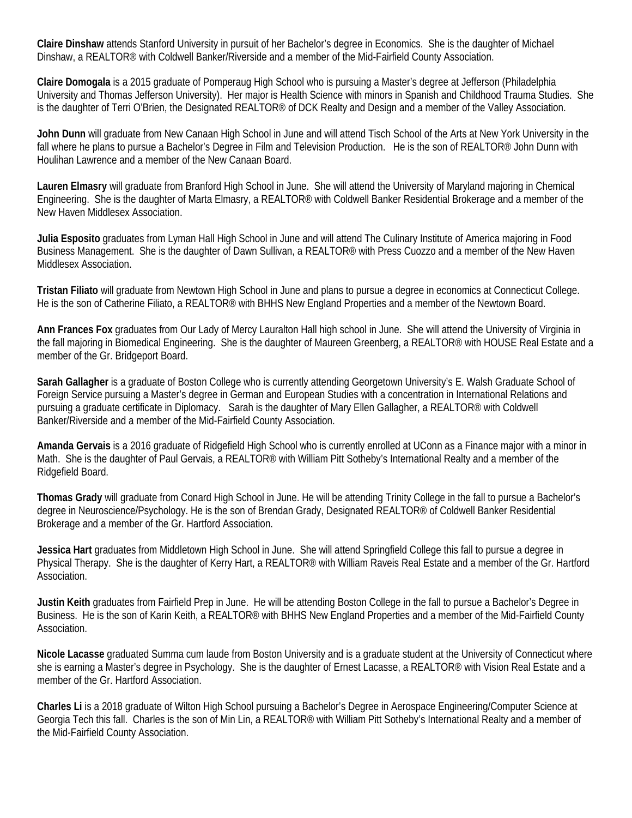**Claire Dinshaw** attends Stanford University in pursuit of her Bachelor's degree in Economics. She is the daughter of Michael Dinshaw, a REALTOR® with Coldwell Banker/Riverside and a member of the Mid-Fairfield County Association.

**Claire Domogala** is a 2015 graduate of Pomperaug High School who is pursuing a Master's degree at Jefferson (Philadelphia University and Thomas Jefferson University). Her major is Health Science with minors in Spanish and Childhood Trauma Studies. She is the daughter of Terri O'Brien, the Designated REALTOR® of DCK Realty and Design and a member of the Valley Association.

**John Dunn** will graduate from New Canaan High School in June and will attend Tisch School of the Arts at New York University in the fall where he plans to pursue a Bachelor's Degree in Film and Television Production. He is the son of REALTOR® John Dunn with Houlihan Lawrence and a member of the New Canaan Board.

**Lauren Elmasry** will graduate from Branford High School in June. She will attend the University of Maryland majoring in Chemical Engineering. She is the daughter of Marta Elmasry, a REALTOR® with Coldwell Banker Residential Brokerage and a member of the New Haven Middlesex Association.

**Julia Esposito** graduates from Lyman Hall High School in June and will attend The Culinary Institute of America majoring in Food Business Management. She is the daughter of Dawn Sullivan, a REALTOR® with Press Cuozzo and a member of the New Haven Middlesex Association.

**Tristan Filiato** will graduate from Newtown High School in June and plans to pursue a degree in economics at Connecticut College. He is the son of Catherine Filiato, a REALTOR® with BHHS New England Properties and a member of the Newtown Board.

**Ann Frances Fox** graduates from Our Lady of Mercy Lauralton Hall high school in June. She will attend the University of Virginia in the fall majoring in Biomedical Engineering. She is the daughter of Maureen Greenberg, a REALTOR® with HOUSE Real Estate and a member of the Gr. Bridgeport Board.

**Sarah Gallagher** is a graduate of Boston College who is currently attending Georgetown University's E. Walsh Graduate School of Foreign Service pursuing a Master's degree in German and European Studies with a concentration in International Relations and pursuing a graduate certificate in Diplomacy. Sarah is the daughter of Mary Ellen Gallagher, a REALTOR® with Coldwell Banker/Riverside and a member of the Mid-Fairfield County Association.

**Amanda Gervais** is a 2016 graduate of Ridgefield High School who is currently enrolled at UConn as a Finance major with a minor in Math. She is the daughter of Paul Gervais, a REALTOR<sup>®</sup> with William Pitt Sotheby's International Realty and a member of the Ridgefield Board.

**Thomas Grady** will graduate from Conard High School in June. He will be attending Trinity College in the fall to pursue a Bachelor's degree in Neuroscience/Psychology. He is the son of Brendan Grady, Designated REALTOR® of Coldwell Banker Residential Brokerage and a member of the Gr. Hartford Association.

**Jessica Hart** graduates from Middletown High School in June. She will attend Springfield College this fall to pursue a degree in Physical Therapy. She is the daughter of Kerry Hart, a REALTOR® with William Raveis Real Estate and a member of the Gr. Hartford Association.

**Justin Keith** graduates from Fairfield Prep in June. He will be attending Boston College in the fall to pursue a Bachelor's Degree in Business. He is the son of Karin Keith, a REALTOR® with BHHS New England Properties and a member of the Mid-Fairfield County Association.

**Nicole Lacasse** graduated Summa cum laude from Boston University and is a graduate student at the University of Connecticut where she is earning a Master's degree in Psychology. She is the daughter of Ernest Lacasse, a REALTOR® with Vision Real Estate and a member of the Gr. Hartford Association.

**Charles Li** is a 2018 graduate of Wilton High School pursuing a Bachelor's Degree in Aerospace Engineering/Computer Science at Georgia Tech this fall. Charles is the son of Min Lin, a REALTOR® with William Pitt Sotheby's International Realty and a member of the Mid-Fairfield County Association.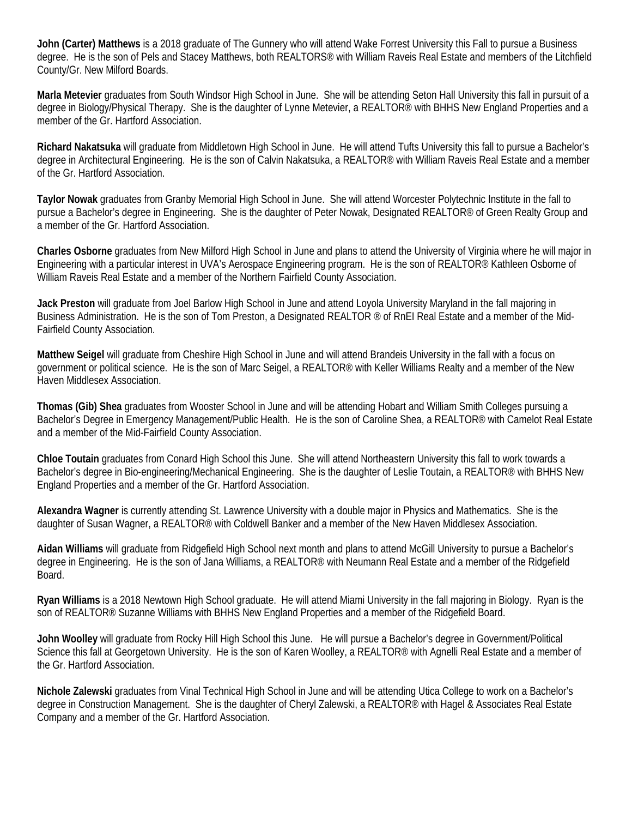**John (Carter) Matthews** is a 2018 graduate of The Gunnery who will attend Wake Forrest University this Fall to pursue a Business degree. He is the son of Pels and Stacey Matthews, both REALTORS® with William Raveis Real Estate and members of the Litchfield County/Gr. New Milford Boards.

**Marla Metevier** graduates from South Windsor High School in June. She will be attending Seton Hall University this fall in pursuit of a degree in Biology/Physical Therapy. She is the daughter of Lynne Metevier, a REALTOR® with BHHS New England Properties and a member of the Gr. Hartford Association.

**Richard Nakatsuka** will graduate from Middletown High School in June. He will attend Tufts University this fall to pursue a Bachelor's degree in Architectural Engineering. He is the son of Calvin Nakatsuka, a REALTOR® with William Raveis Real Estate and a member of the Gr. Hartford Association.

**Taylor Nowak** graduates from Granby Memorial High School in June. She will attend Worcester Polytechnic Institute in the fall to pursue a Bachelor's degree in Engineering. She is the daughter of Peter Nowak, Designated REALTOR® of Green Realty Group and a member of the Gr. Hartford Association.

**Charles Osborne** graduates from New Milford High School in June and plans to attend the University of Virginia where he will major in Engineering with a particular interest in UVA's Aerospace Engineering program. He is the son of REALTOR® Kathleen Osborne of William Raveis Real Estate and a member of the Northern Fairfield County Association.

**Jack Preston** will graduate from Joel Barlow High School in June and attend Loyola University Maryland in the fall majoring in Business Administration. He is the son of Tom Preston, a Designated REALTOR ® of RnEI Real Estate and a member of the Mid-Fairfield County Association.

**Matthew Seigel** will graduate from Cheshire High School in June and will attend Brandeis University in the fall with a focus on government or political science. He is the son of Marc Seigel, a REALTOR® with Keller Williams Realty and a member of the New Haven Middlesex Association.

**Thomas (Gib) Shea** graduates from Wooster School in June and will be attending Hobart and William Smith Colleges pursuing a Bachelor's Degree in Emergency Management/Public Health. He is the son of Caroline Shea, a REALTOR® with Camelot Real Estate and a member of the Mid-Fairfield County Association.

**Chloe Toutain** graduates from Conard High School this June. She will attend Northeastern University this fall to work towards a Bachelor's degree in Bio-engineering/Mechanical Engineering. She is the daughter of Leslie Toutain, a REALTOR® with BHHS New England Properties and a member of the Gr. Hartford Association.

**Alexandra Wagner** is currently attending St. Lawrence University with a double major in Physics and Mathematics. She is the daughter of Susan Wagner, a REALTOR® with Coldwell Banker and a member of the New Haven Middlesex Association.

**Aidan Williams** will graduate from Ridgefield High School next month and plans to attend McGill University to pursue a Bachelor's degree in Engineering. He is the son of Jana Williams, a REALTOR® with Neumann Real Estate and a member of the Ridgefield Board.

**Ryan Williams** is a 2018 Newtown High School graduate. He will attend Miami University in the fall majoring in Biology. Ryan is the son of REALTOR® Suzanne Williams with BHHS New England Properties and a member of the Ridgefield Board.

**John Woolley** will graduate from Rocky Hill High School this June. He will pursue a Bachelor's degree in Government/Political Science this fall at Georgetown University. He is the son of Karen Woolley, a REALTOR® with Agnelli Real Estate and a member of the Gr. Hartford Association.

**Nichole Zalewski** graduates from Vinal Technical High School in June and will be attending Utica College to work on a Bachelor's degree in Construction Management. She is the daughter of Cheryl Zalewski, a REALTOR® with Hagel & Associates Real Estate Company and a member of the Gr. Hartford Association.